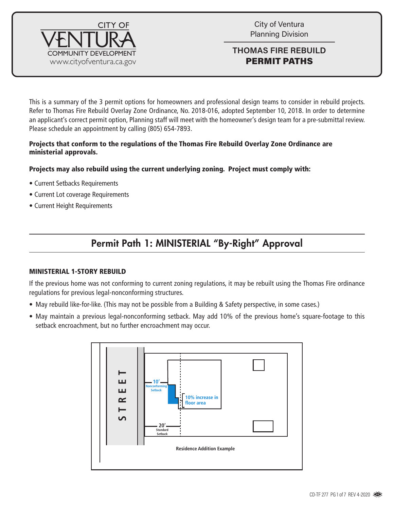

City of Ventura Planning Division

### **THOMAS FIRE REBUILD** PERMIT PATHS

This is a summary of the 3 permit options for homeowners and professional design teams to consider in rebuild projects. Refer to Thomas Fire Rebuild Overlay Zone Ordinance, No. 2018-016, adopted September 10, 2018. In order to determine an applicant's correct permit option, Planning staff will meet with the homeowner's design team for a pre-submittal review. Please schedule an appointment by calling (805) 654-7893.

#### Projects that conform to the regulations of the Thomas Fire Rebuild Overlay Zone Ordinance are ministerial approvals.

### Projects may also rebuild using the current underlying zoning. Project must comply with:

- Current Setbacks Requirements
- Current Lot coverage Requirements
- Current Height Requirements

# Permit Path 1: MINISTERIAL "By-Right" Approval

#### MINISTERIAL 1-STORY REBUILD

If the previous home was not conforming to current zoning regulations, it may be rebuilt using the Thomas Fire ordinance regulations for previous legal-nonconforming structures.

- May rebuild like-for-like. (This may not be possible from a Building & Safety perspective, in some cases.)
- May maintain a previous legal-nonconforming setback. May add 10% of the previous home's square-footage to this setback encroachment, but no further encroachment may occur.

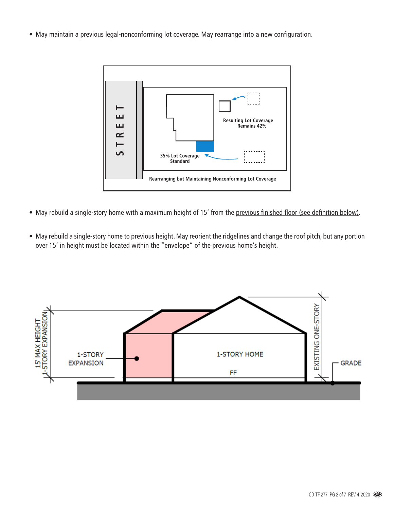• May maintain a previous legal-nonconforming lot coverage. May rearrange into a new configuration.



- May rebuild a single-story home with a maximum height of 15' from the previous finished floor (see definition below).
- May rebuild a single-story home to previous height. May reorient the ridgelines and change the roof pitch, but any portion over 15' in height must be located within the "envelope" of the previous home's height.

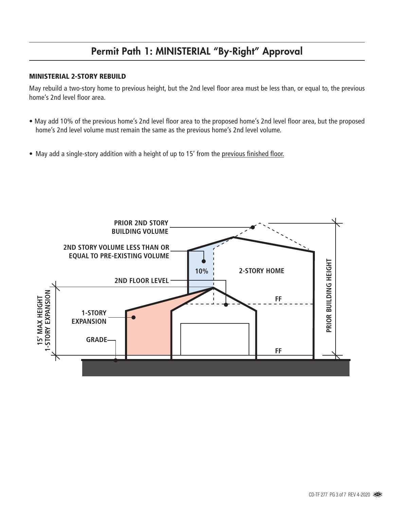# Permit Path 1: MINISTERIAL "By-Right" Approval

#### MINISTERIAL 2-STORY REBUILD

May rebuild a two-story home to previous height, but the 2nd level floor area must be less than, or equal to, the previous home's 2nd level floor area.

- May add 10% of the previous home's 2nd level floor area to the proposed home's 2nd level floor area, but the proposed home's 2nd level volume must remain the same as the previous home's 2nd level volume.
- May add a single-story addition with a height of up to 15' from the previous finished floor.

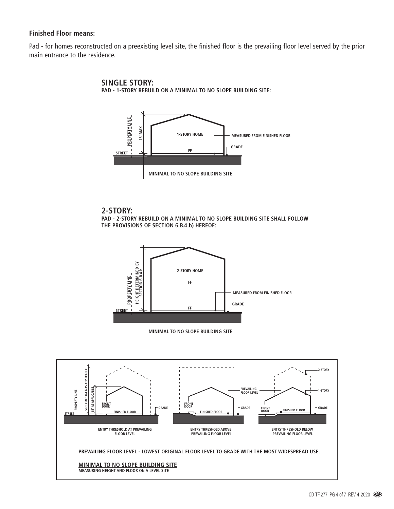#### **Finished Floor means:**

Pad - for homes reconstructed on a preexisting level site, the finished floor is the prevailing floor level served by the prior main entrance to the residence.





#### **2-STORY:**

**PAD - 2-STORY REBUILD ON A MINIMAL TO NO SLOPE BUILDING SITE SHALL FOLLOW THE PROVISIONS OF SECTION 6.B.4.b) HEREOF:**





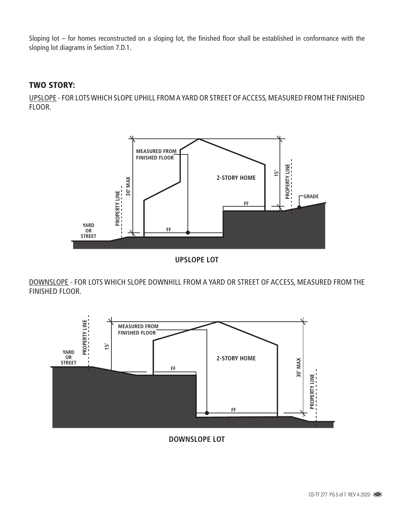Sloping lot – for homes reconstructed on a sloping lot, the finished floor shall be established in conformance with the sloping lot diagrams in Section 7.D.1.

### TWO STORY:

UPSLOPE - FOR LOTS WHICH SLOPE UPHILL FROM A YARD OR STREET OF ACCESS, MEASURED FROM THE FINISHED FLOOR.



**UPSLOPE LOT**

DOWNSLOPE - FOR LOTS WHICH SLOPE DOWNHILL FROM A YARD OR STREET OF ACCESS, MEASURED FROM THE FINISHED FLOOR.



**DOWNSLOPE LOT**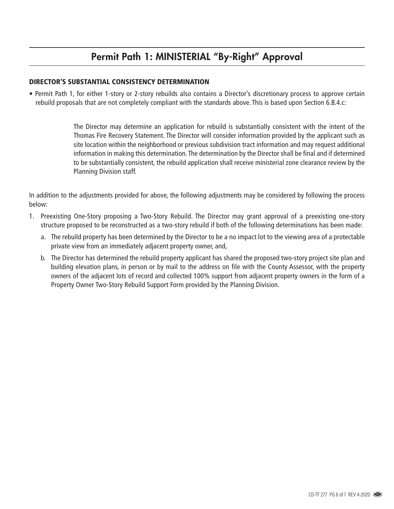## Permit Path 1: MINISTERIAL "By-Right" Approval

#### DIRECTOR'S SUBSTANTIAL CONSISTENCY DETERMINATION

• Permit Path 1, for either 1-story or 2-story rebuilds also contains a Director's discretionary process to approve certain rebuild proposals that are not completely compliant with the standards above. This is based upon Section 6.B.4.c:

> The Director may determine an application for rebuild is substantially consistent with the intent of the Thomas Fire Recovery Statement. The Director will consider information provided by the applicant such as site location within the neighborhood or previous subdivision tract information and may request additional information in making this determination. The determination by the Director shall be final and if determined to be substantially consistent, the rebuild application shall receive ministerial zone clearance review by the Planning Division staff.

In addition to the adjustments provided for above, the following adjustments may be considered by following the process below:

- 1. Preexisting One-Story proposing a Two-Story Rebuild. The Director may grant approval of a preexisting one-story structure proposed to be reconstructed as a two-story rebuild if both of the following determinations has been made:
	- a. The rebuild property has been determined by the Director to be a no impact lot to the viewing area of a protectable private view from an immediately adjacent property owner, and,
	- b. The Director has determined the rebuild property applicant has shared the proposed two-story project site plan and building elevation plans, in person or by mail to the address on file with the County Assessor, with the property owners of the adjacent lots of record and collected 100% support from adjacent property owners in the form of a Property Owner Two-Story Rebuild Support Form provided by the Planning Division.